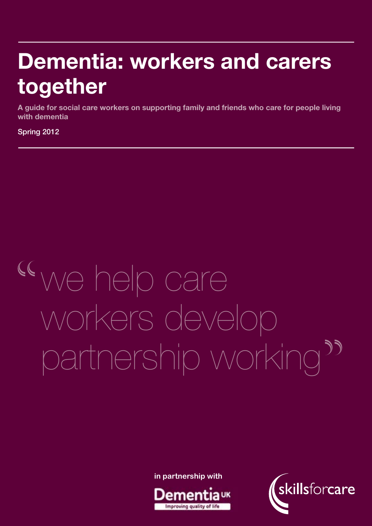## Dementia: workers and carers together

A case study-based manager's guide to good practice in learning and development for social care workers supporting people with dementia A guide for social care workers on supporting family and friends who care for people living with dementia

Spring 2012 Spring 2012

# we help care workers develop partnership working

**in partnership with**



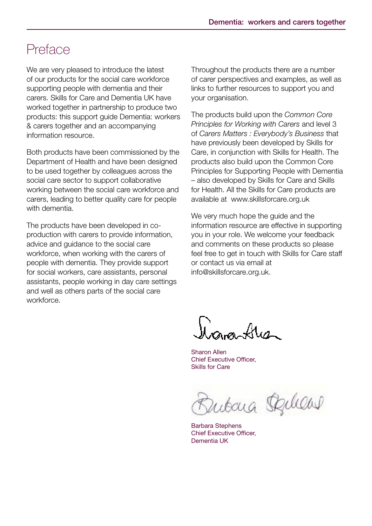### Preface

We are very pleased to introduce the latest of our products for the social care workforce supporting people with dementia and their carers. Skills for Care and Dementia UK have worked together in partnership to produce two products: this support guide Dementia: workers & carers together and an accompanying information resource.

Both products have been commissioned by the Department of Health and have been designed to be used together by colleagues across the social care sector to support collaborative working between the social care workforce and carers, leading to better quality care for people with dementia.

The products have been developed in coproduction with carers to provide information, advice and guidance to the social care workforce, when working with the carers of people with dementia. They provide support for social workers, care assistants, personal assistants, people working in day care settings and well as others parts of the social care workforce.

Throughout the products there are a number of carer perspectives and examples, as well as links to further resources to support you and your organisation.

The products build upon the *Common Core Principles for Working with Carers* and level 3 of *Carers Matters : Everybody's Business* that have previously been developed by Skills for Care, in conjunction with Skills for Health. The products also build upon the Common Core Principles for Supporting People with Dementia – also developed by Skills for Care and Skills for Health. All the Skills for Care products are available at www.skillsforcare.org.uk

We very much hope the guide and the information resource are effective in supporting you in your role. We welcome your feedback and comments on these products so please feel free to get in touch with Skills for Care staff or contact us via email at info@skillsforcare.org.uk.

Jan Ave

Sharon Allen Chief Executive Officer, Skills for Care

Zubara Raliews

Barbara Stephens Chief Executive Officer, Dementia UK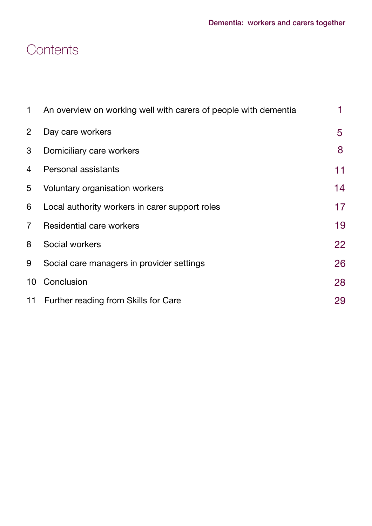### **Contents**

| 1              | An overview on working well with carers of people with dementia | 1  |
|----------------|-----------------------------------------------------------------|----|
| $\overline{2}$ | Day care workers                                                | 5  |
| 3              | Domiciliary care workers                                        | 8  |
| 4              | <b>Personal assistants</b>                                      | 11 |
| 5              | Voluntary organisation workers                                  | 14 |
| 6              | Local authority workers in carer support roles                  | 17 |
| $\overline{7}$ | Residential care workers                                        | 19 |
| 8              | Social workers                                                  | 22 |
| 9              | Social care managers in provider settings                       | 26 |
| 10             | Conclusion                                                      | 28 |
|                | 11 Further reading from Skills for Care                         | 29 |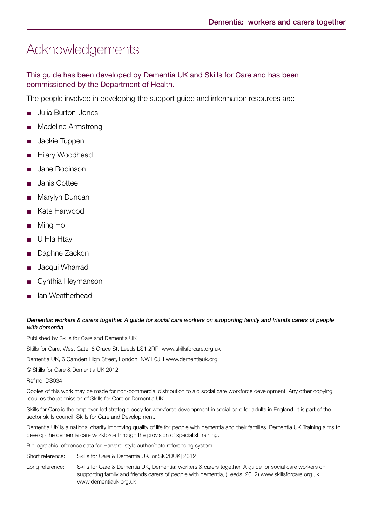### Acknowledgements

This guide has been developed by Dementia UK and Skills for Care and has been commissioned by the Department of Health.

The people involved in developing the support guide and information resources are:

- Julia Burton-Jones
- Madeline Armstrong
- Jackie Tuppen
- Hilary Woodhead
- Jane Robinson
- Janis Cottee
- Marylyn Duncan
- Kate Harwood
- Ming Ho
- U Hla Htay
- Daphne Zackon
- Jacqui Wharrad
- Cynthia Heymanson
- lan Weatherhead

#### Dementia: workers & carers together. A guide for social care workers on supporting family and friends carers of people with dementia

Published by Skills for Care and Dementia UK

Skills for Care, West Gate, 6 Grace St, Leeds LS1 2RP www.skillsforcare.org.uk

Dementia UK, 6 Camden High Street, London, NW1 0JH www.dementiauk.org

© Skills for Care & Dementia UK 2012

Ref no. DS034

Copies of this work may be made for non-commercial distribution to aid social care workforce development. Any other copying requires the permission of Skills for Care or Dementia UK.

Skills for Care is the employer-led strategic body for workforce development in social care for adults in England. It is part of the sector skills council, Skills for Care and Development.

Dementia UK is a national charity improving quality of life for people with dementia and their families. Dementia UK Training aims to develop the dementia care workforce through the provision of specialist training.

Bibliographic reference data for Harvard-style author/date referencing system:

Short reference: Skills for Care & Dementia UK [or SfC/DUK] 2012

Long reference: Skills for Care & Dementia UK, Dementia: workers & carers together. A guide for social care workers on supporting family and friends carers of people with dementia, (Leeds, 2012) www.skillsforcare.org.uk www.dementiauk.org.uk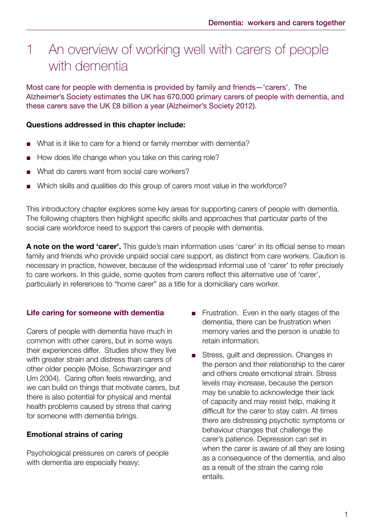### 1 An overview of working well with carers of people with dementia

Most care for people with dementia is provided by family and friends—'carers'. The Alzheimer's Society estimates the UK has 670,000 primary carers of people with dementia, and these carers save the UK £8 billion a year (Alzheimer's Society 2012).

#### Questions addressed in this chapter include:

- What is it like to care for a friend or family member with dementia?
- How does life change when you take on this caring role?
- What do carers want from social care workers?
- Which skills and qualities do this group of carers most value in the workforce?

This introductory chapter explores some key areas for supporting carers of people with dementia. The following chapters then highlight specific skills and approaches that particular parts of the social care workforce need to support the carers of people with dementia.

A note on the word 'carer'. This guide's main information uses 'carer' in its official sense to mean family and friends who provide unpaid social care support, as distinct from care workers. Caution is necessary in practice, however, because of the widespread informal use of 'carer' to refer precisely to care workers. In this guide, some quotes from carers reflect this alternative use of 'carer', particularly in references to "home carer" as a title for a domiciliary care worker.

#### Life caring for someone with dementia

Carers of people with dementia have much in common with other carers, but in some ways their experiences differ. Studies show they live with greater strain and distress than carers of other older people (Moise, Schwarzinger and Um 2004). Caring often feels rewarding, and we can build on things that motivate carers, but there is also potential for physical and mental health problems caused by stress that caring for someone with dementia brings.

#### Emotional strains of caring

Psychological pressures on carers of people with dementia are especially heavy:

- Frustration. Even in the early stages of the dementia, there can be frustration when memory varies and the person is unable to retain information.
- Stress, guilt and depression. Changes in the person and their relationship to the carer and others create emotional strain. Stress levels may increase, because the person may be unable to acknowledge their lack of capacity and may resist help, making it difficult for the carer to stay calm. At times there are distressing psychotic symptoms or behaviour changes that challenge the carer's patience. Depression can set in when the carer is aware of all they are losing as a consequence of the dementia, and also as a result of the strain the caring role entails.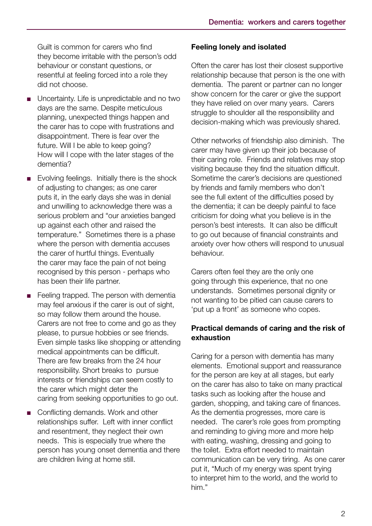Guilt is common for carers who find they become irritable with the person's odd behaviour or constant questions, or resentful at feeling forced into a role they did not choose.

- Uncertainty. Life is unpredictable and no two days are the same. Despite meticulous planning, unexpected things happen and the carer has to cope with frustrations and disappointment. There is fear over the future. Will I be able to keep going? How will I cope with the later stages of the dementia?
- Evolving feelings. Initially there is the shock of adjusting to changes; as one carer puts it, in the early days she was in denial and unwilling to acknowledge there was a serious problem and "our anxieties banged up against each other and raised the temperature." Sometimes there is a phase where the person with dementia accuses the carer of hurtful things. Eventually the carer may face the pain of not being recognised by this person - perhaps who has been their life partner.
- Feeling trapped. The person with dementia may feel anxious if the carer is out of sight, so may follow them around the house. Carers are not free to come and go as they please, to pursue hobbies or see friends. Even simple tasks like shopping or attending medical appointments can be difficult. There are few breaks from the 24 hour responsibility. Short breaks to pursue interests or friendships can seem costly to the carer which might deter the caring from seeking opportunities to go out.
- Conflicting demands. Work and other relationships suffer. Left with inner conflict and resentment, they neglect their own needs. This is especially true where the person has young onset dementia and there are children living at home still.

#### Feeling lonely and isolated

Often the carer has lost their closest supportive relationship because that person is the one with dementia. The parent or partner can no longer show concern for the carer or give the support they have relied on over many years. Carers struggle to shoulder all the responsibility and decision-making which was previously shared.

Other networks of friendship also diminish. The carer may have given up their job because of their caring role. Friends and relatives may stop visiting because they find the situation difficult. Sometime the carer's decisions are questioned by friends and family members who don't see the full extent of the difficulties posed by the dementia; it can be deeply painful to face criticism for doing what you believe is in the person's best interests. It can also be difficult to go out because of financial constraints and anxiety over how others will respond to unusual behaviour.

Carers often feel they are the only one going through this experience, that no one understands. Sometimes personal dignity or not wanting to be pitied can cause carers to 'put up a front' as someone who copes.

#### Practical demands of caring and the risk of exhaustion

Caring for a person with dementia has many elements. Emotional support and reassurance for the person are key at all stages, but early on the carer has also to take on many practical tasks such as looking after the house and garden, shopping, and taking care of finances. As the dementia progresses, more care is needed. The carer's role goes from prompting and reminding to giving more and more help with eating, washing, dressing and going to the toilet. Extra effort needed to maintain communication can be very tiring. As one carer put it, "Much of my energy was spent trying to interpret him to the world, and the world to him."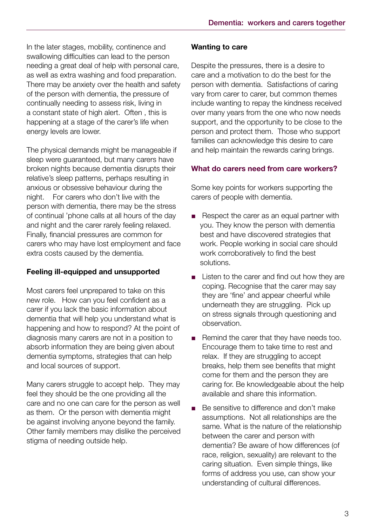In the later stages, mobility, continence and swallowing difficulties can lead to the person needing a great deal of help with personal care, as well as extra washing and food preparation. There may be anxiety over the health and safety of the person with dementia, the pressure of continually needing to assess risk, living in a constant state of high alert. Often , this is happening at a stage of the carer's life when energy levels are lower.

The physical demands might be manageable if sleep were guaranteed, but many carers have broken nights because dementia disrupts their relative's sleep patterns, perhaps resulting in anxious or obsessive behaviour during the night. For carers who don't live with the person with dementia, there may be the stress of continual 'phone calls at all hours of the day and night and the carer rarely feeling relaxed. Finally, financial pressures are common for carers who may have lost employment and face extra costs caused by the dementia.

#### Feeling ill-equipped and unsupported

Most carers feel unprepared to take on this new role. How can you feel confident as a carer if you lack the basic information about dementia that will help you understand what is happening and how to respond? At the point of diagnosis many carers are not in a position to absorb information they are being given about dementia symptoms, strategies that can help and local sources of support.

Many carers struggle to accept help. They may feel they should be the one providing all the care and no one can care for the person as well as them. Or the person with dementia might be against involving anyone beyond the family. Other family members may dislike the perceived stigma of needing outside help.

#### Wanting to care

Despite the pressures, there is a desire to care and a motivation to do the best for the person with dementia. Satisfactions of caring vary from carer to carer, but common themes include wanting to repay the kindness received over many years from the one who now needs support, and the opportunity to be close to the person and protect them. Those who support families can acknowledge this desire to care and help maintain the rewards caring brings.

#### What do carers need from care workers?

Some key points for workers supporting the carers of people with dementia.

- Respect the carer as an equal partner with you. They know the person with dementia best and have discovered strategies that work. People working in social care should work corroboratively to find the best solutions.
- Listen to the carer and find out how they are coping. Recognise that the carer may say they are 'fine' and appear cheerful while underneath they are struggling. Pick up on stress signals through questioning and observation.
- Remind the carer that they have needs too. Encourage them to take time to rest and relax. If they are struggling to accept breaks, help them see benefits that might come for them and the person they are caring for. Be knowledgeable about the help available and share this information.
- Be sensitive to difference and don't make assumptions. Not all relationships are the same. What is the nature of the relationship between the carer and person with dementia? Be aware of how differences (of race, religion, sexuality) are relevant to the caring situation. Even simple things, like forms of address you use, can show your understanding of cultural differences.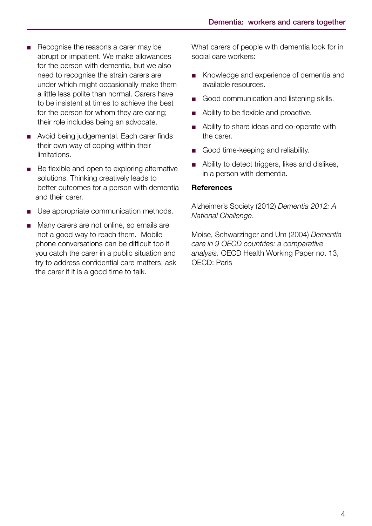- Recognise the reasons a carer may be abrupt or impatient. We make allowances for the person with dementia, but we also need to recognise the strain carers are under which might occasionally make them a little less polite than normal. Carers have to be insistent at times to achieve the best for the person for whom they are caring; their role includes being an advocate.
- Avoid being judgemental. Each carer finds their own way of coping within their limitations.
- Be flexible and open to exploring alternative solutions. Thinking creatively leads to better outcomes for a person with dementia and their carer.
- Use appropriate communication methods.
- Many carers are not online, so emails are not a good way to reach them. Mobile phone conversations can be difficult too if you catch the carer in a public situation and try to address confidential care matters; ask the carer if it is a good time to talk.

What carers of people with dementia look for in social care workers:

- Knowledge and experience of dementia and available resources.
- Good communication and listening skills.
- Ability to be flexible and proactive.
- Ability to share ideas and co-operate with the carer.
- Good time-keeping and reliability.
- Ability to detect triggers, likes and dislikes, in a person with dementia.

#### **References**

Alzheimer's Society (2012) *Dementia 2012: A National Challenge*.

Moise, Schwarzinger and Um (2004) *Dementia care in 9 OECD countries: a comparative analysis,* OECD Health Working Paper no. 13, OECD: Paris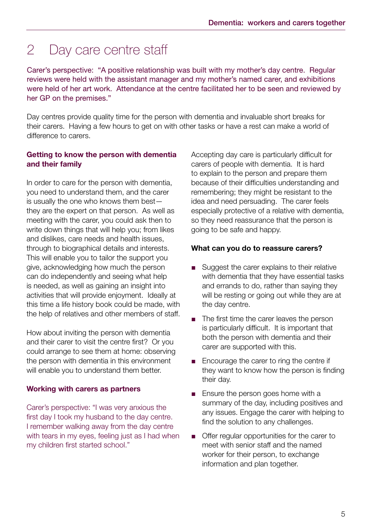### 2 Day care centre staff

Carer's perspective: "A positive relationship was built with my mother's day centre. Regular reviews were held with the assistant manager and my mother's named carer, and exhibitions were held of her art work. Attendance at the centre facilitated her to be seen and reviewed by her GP on the premises."

Day centres provide quality time for the person with dementia and invaluable short breaks for their carers. Having a few hours to get on with other tasks or have a rest can make a world of difference to carers.

#### Getting to know the person with dementia and their family

In order to care for the person with dementia, you need to understand them, and the carer is usually the one who knows them best they are the expert on that person. As well as meeting with the carer, you could ask then to write down things that will help you; from likes and dislikes, care needs and health issues, through to biographical details and interests. This will enable you to tailor the support you give, acknowledging how much the person can do independently and seeing what help is needed, as well as gaining an insight into activities that will provide enjoyment. Ideally at this time a life history book could be made, with the help of relatives and other members of staff.

How about inviting the person with dementia and their carer to visit the centre first? Or you could arrange to see them at home: observing the person with dementia in this environment will enable you to understand them better.

#### Working with carers as partners

Carer's perspective: "I was very anxious the first day I took my husband to the day centre. I remember walking away from the day centre with tears in my eyes, feeling just as I had when my children first started school."

Accepting day care is particularly difficult for carers of people with dementia. It is hard to explain to the person and prepare them because of their difficulties understanding and remembering; they might be resistant to the idea and need persuading. The carer feels especially protective of a relative with dementia, so they need reassurance that the person is going to be safe and happy.

#### What can you do to reassure carers?

- Suggest the carer explains to their relative with dementia that they have essential tasks and errands to do, rather than saying they will be resting or going out while they are at the day centre.
- The first time the carer leaves the person is particularly difficult. It is important that both the person with dementia and their carer are supported with this.
- Encourage the carer to ring the centre if they want to know how the person is finding their day.
- Ensure the person goes home with a summary of the day, including positives and any issues. Engage the carer with helping to find the solution to any challenges.
- Offer regular opportunities for the carer to meet with senior staff and the named worker for their person, to exchange information and plan together.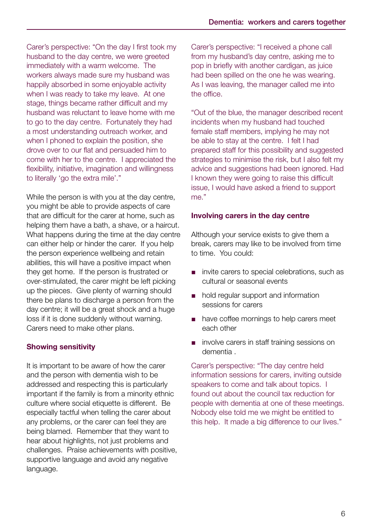Carer's perspective: "On the day I first took my husband to the day centre, we were greeted immediately with a warm welcome. The workers always made sure my husband was happily absorbed in some enjoyable activity when I was ready to take my leave. At one stage, things became rather difficult and my husband was reluctant to leave home with me to go to the day centre. Fortunately they had a most understanding outreach worker, and when I phoned to explain the position, she drove over to our flat and persuaded him to come with her to the centre. I appreciated the flexibility, initiative, imagination and willingness to literally 'go the extra mile'."

While the person is with you at the day centre, you might be able to provide aspects of care that are difficult for the carer at home, such as helping them have a bath, a shave, or a haircut. What happens during the time at the day centre can either help or hinder the carer. If you help the person experience wellbeing and retain abilities, this will have a positive impact when they get home. If the person is frustrated or over-stimulated, the carer might be left picking up the pieces. Give plenty of warning should there be plans to discharge a person from the day centre; it will be a great shock and a huge loss if it is done suddenly without warning. Carers need to make other plans.

#### Showing sensitivity

It is important to be aware of how the carer and the person with dementia wish to be addressed and respecting this is particularly important if the family is from a minority ethnic culture where social etiquette is different. Be especially tactful when telling the carer about any problems, or the carer can feel they are being blamed. Remember that they want to hear about highlights, not just problems and challenges. Praise achievements with positive, supportive language and avoid any negative language.

Carer's perspective: "I received a phone call from my husband's day centre, asking me to pop in briefly with another cardigan, as juice had been spilled on the one he was wearing. As I was leaving, the manager called me into the office.

"Out of the blue, the manager described recent incidents when my husband had touched female staff members, implying he may not be able to stay at the centre. I felt I had prepared staff for this possibility and suggested strategies to minimise the risk, but I also felt my advice and suggestions had been ignored. Had I known they were going to raise this difficult issue, I would have asked a friend to support me."

#### Involving carers in the day centre

Although your service exists to give them a break, carers may like to be involved from time to time. You could:

- invite carers to special celebrations, such as cultural or seasonal events
- hold regular support and information sessions for carers
- have coffee mornings to help carers meet each other
- involve carers in staff training sessions on dementia .

Carer's perspective: "The day centre held information sessions for carers, inviting outside speakers to come and talk about topics. I found out about the council tax reduction for people with dementia at one of these meetings. Nobody else told me we might be entitled to this help. It made a big difference to our lives."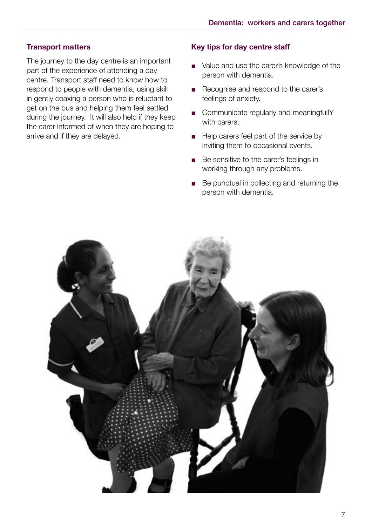#### Transport matters

The journey to the day centre is an important part of the experience of attending a day centre. Transport staff need to know how to respond to people with dementia, using skill in gently coaxing a person who is reluctant to get on the bus and helping them feel settled during the journey. It will also help if they keep the carer informed of when they are hoping to arrive and if they are delayed.

#### Key tips for day centre staff

- Value and use the carer's knowledge of the person with dementia.
- Recognise and respond to the carer's feelings of anxiety.
- Communicate regularly and meaningfullY with carers.
- Help carers feel part of the service by inviting them to occasional events.
- Be sensitive to the carer's feelings in working through any problems.
- Be punctual in collecting and returning the person with dementia.

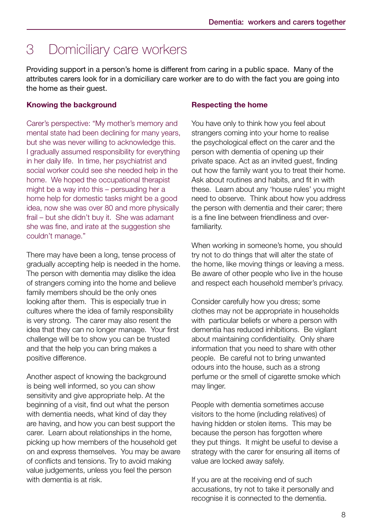### 3 Domiciliary care workers

Providing support in a person's home is different from caring in a public space. Many of the attributes carers look for in a domiciliary care worker are to do with the fact you are going into the home as their guest.

#### Knowing the background

Carer's perspective: "My mother's memory and mental state had been declining for many years, but she was never willing to acknowledge this. I gradually assumed responsibility for everything in her daily life. In time, her psychiatrist and social worker could see she needed help in the home. We hoped the occupational therapist might be a way into this – persuading her a home help for domestic tasks might be a good idea, now she was over 80 and more physically frail – but she didn't buy it. She was adamant she was fine, and irate at the suggestion she couldn't manage."

There may have been a long, tense process of gradually accepting help is needed in the home. The person with dementia may dislike the idea of strangers coming into the home and believe family members should be the only ones looking after them. This is especially true in cultures where the idea of family responsibility is very strong. The carer may also resent the idea that they can no longer manage. Your first challenge will be to show you can be trusted and that the help you can bring makes a positive difference.

Another aspect of knowing the background is being well informed, so you can show sensitivity and give appropriate help. At the beginning of a visit, find out what the person with dementia needs, what kind of day they are having, and how you can best support the carer. Learn about relationships in the home, picking up how members of the household get on and express themselves. You may be aware of conflicts and tensions. Try to avoid making value judgements, unless you feel the person with dementia is at risk.

#### Respecting the home

You have only to think how you feel about strangers coming into your home to realise the psychological effect on the carer and the person with dementia of opening up their private space. Act as an invited guest, finding out how the family want you to treat their home. Ask about routines and habits, and fit in with these. Learn about any 'house rules' you might need to observe. Think about how you address the person with dementia and their carer; there is a fine line between friendliness and overfamiliarity.

When working in someone's home, you should try not to do things that will alter the state of the home, like moving things or leaving a mess. Be aware of other people who live in the house and respect each household member's privacy.

Consider carefully how you dress; some clothes may not be appropriate in households with particular beliefs or where a person with dementia has reduced inhibitions. Be vigilant about maintaining confidentiality. Only share information that you need to share with other people. Be careful not to bring unwanted odours into the house, such as a strong perfume or the smell of cigarette smoke which may linger.

People with dementia sometimes accuse visitors to the home (including relatives) of having hidden or stolen items. This may be because the person has forgotten where they put things. It might be useful to devise a strategy with the carer for ensuring all items of value are locked away safely.

If you are at the receiving end of such accusations, try not to take it personally and recognise it is connected to the dementia.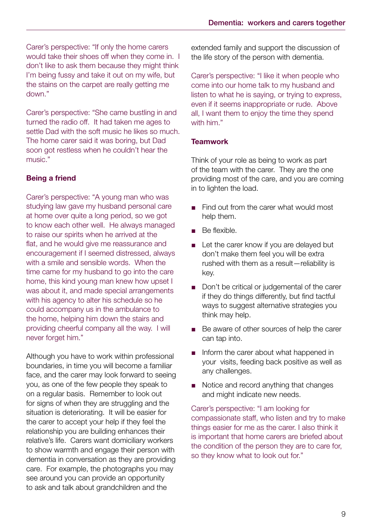Carer's perspective: "If only the home carers would take their shoes off when they come in. I don't like to ask them because they might think I'm being fussy and take it out on my wife, but the stains on the carpet are really getting me down."

Carer's perspective: "She came bustling in and turned the radio off. It had taken me ages to settle Dad with the soft music he likes so much. The home carer said it was boring, but Dad soon got restless when he couldn't hear the music."

#### Being a friend

Carer's perspective: "A young man who was studying law gave my husband personal care at home over quite a long period, so we got to know each other well. He always managed to raise our spirits when he arrived at the flat, and he would give me reassurance and encouragement if I seemed distressed, always with a smile and sensible words. When the time came for my husband to go into the care home, this kind young man knew how upset I was about it, and made special arrangements with his agency to alter his schedule so he could accompany us in the ambulance to the home, helping him down the stairs and providing cheerful company all the way. I will never forget him."

Although you have to work within professional boundaries, in time you will become a familiar face, and the carer may look forward to seeing you, as one of the few people they speak to on a regular basis. Remember to look out for signs of when they are struggling and the situation is deteriorating. It will be easier for the carer to accept your help if they feel the relationship you are building enhances their relative's life. Carers want domiciliary workers to show warmth and engage their person with dementia in conversation as they are providing care. For example, the photographs you may see around you can provide an opportunity to ask and talk about grandchildren and the

extended family and support the discussion of the life story of the person with dementia.

Carer's perspective: "I like it when people who come into our home talk to my husband and listen to what he is saying, or trying to express, even if it seems inappropriate or rude. Above all, I want them to enjoy the time they spend with him."

#### **Teamwork**

Think of your role as being to work as part of the team with the carer. They are the one providing most of the care, and you are coming in to lighten the load.

- Find out from the carer what would most help them.
- Be flexible.
- Let the carer know if you are delayed but don't make them feel you will be extra rushed with them as a result—reliability is key.
- Don't be critical or judgemental of the carer if they do things differently, but find tactful ways to suggest alternative strategies you think may help.
- Be aware of other sources of help the carer can tap into.
- Inform the carer about what happened in your visits, feeding back positive as well as any challenges.
- Notice and record anything that changes and might indicate new needs.

Carer's perspective: "I am looking for compassionate staff, who listen and try to make things easier for me as the carer. I also think it is important that home carers are briefed about the condition of the person they are to care for, so they know what to look out for."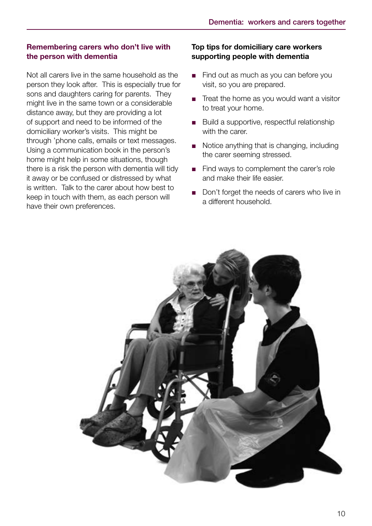#### Remembering carers who don't live with the person with dementia

Not all carers live in the same household as the person they look after. This is especially true for sons and daughters caring for parents. They might live in the same town or a considerable distance away, but they are providing a lot of support and need to be informed of the domiciliary worker's visits. This might be through 'phone calls, emails or text messages. Using a communication book in the person's home might help in some situations, though there is a risk the person with dementia will tidy it away or be confused or distressed by what is written. Talk to the carer about how best to keep in touch with them, as each person will have their own preferences.

#### Top tips for domiciliary care workers supporting people with dementia

- Find out as much as you can before you visit, so you are prepared.
- Treat the home as you would want a visitor to treat your home.
- Build a supportive, respectful relationship with the carer.
- Notice anything that is changing, including the carer seeming stressed.
- Find ways to complement the carer's role and make their life easier.
- Don't forget the needs of carers who live in a different household.

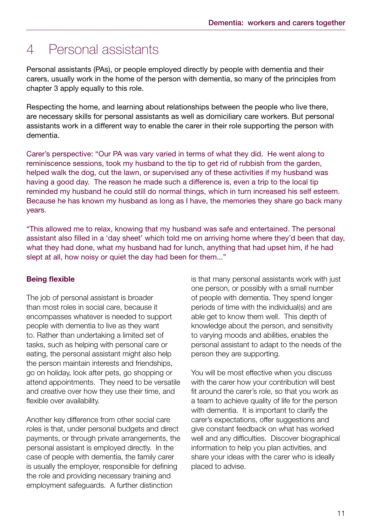### 4 Personal assistants

Personal assistants (PAs), or people employed directly by people with dementia and their carers, usually work in the home of the person with dementia, so many of the principles from chapter 3 apply equally to this role.

Respecting the home, and learning about relationships between the people who live there, are necessary skills for personal assistants as well as domiciliary care workers. But personal assistants work in a different way to enable the carer in their role supporting the person with dementia.

Carer's perspective: "Our PA was vary varied in terms of what they did. He went along to reminiscence sessions, took my husband to the tip to get rid of rubbish from the garden, helped walk the dog, cut the lawn, or supervised any of these activities if my husband was having a good day. The reason he made such a difference is, even a trip to the local tip reminded my husband he could still do normal things, which in turn increased his self esteem. Because he has known my husband as long as I have, the memories they share go back many years.

"This allowed me to relax, knowing that my husband was safe and entertained. The personal assistant also filled in a 'day sheet' which told me on arriving home where they'd been that day, what they had done, what my husband had for lunch, anything that had upset him, if he had slept at all, how noisy or quiet the day had been for them..."

#### Being flexible

The job of personal assistant is broader than most roles in social care, because it encompasses whatever is needed to support people with dementia to live as they want to. Rather than undertaking a limited set of tasks, such as helping with personal care or eating, the personal assistant might also help the person maintain interests and friendships, go on holiday, look after pets, go shopping or attend appointments. They need to be versatile and creative over how they use their time, and flexible over availability.

Another key difference from other social care roles is that, under personal budgets and direct payments, or through private arrangements, the personal assistant is employed directly. In the case of people with dementia, the family carer is usually the employer, responsible for defining the role and providing necessary training and employment safeguards. A further distinction

is that many personal assistants work with just one person, or possibly with a small number of people with dementia. They spend longer periods of time with the individual(s) and are able get to know them well. This depth of knowledge about the person, and sensitivity to varying moods and abilities, enables the personal assistant to adapt to the needs of the person they are supporting.

You will be most effective when you discuss with the carer how your contribution will best fit around the carer's role, so that you work as a team to achieve quality of life for the person with dementia. It is important to clarify the carer's expectations, offer suggestions and give constant feedback on what has worked well and any difficulties. Discover biographical information to help you plan activities, and share your ideas with the carer who is ideally placed to advise.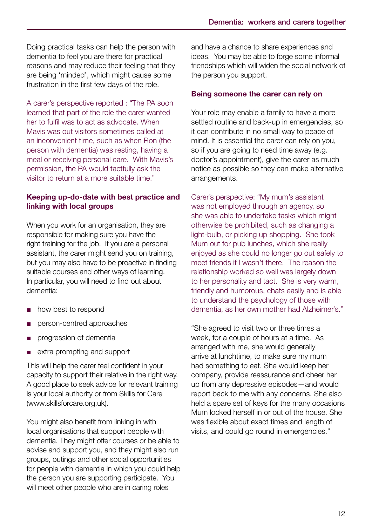Doing practical tasks can help the person with dementia to feel you are there for practical reasons and may reduce their feeling that they are being 'minded', which might cause some frustration in the first few days of the role.

A carer's perspective reported : "The PA soon learned that part of the role the carer wanted her to fulfil was to act as advocate. When Mavis was out visitors sometimes called at an inconvenient time, such as when Ron (the person with dementia) was resting, having a meal or receiving personal care. With Mavis's permission, the PA would tactfully ask the visitor to return at a more suitable time."

#### Keeping up-do-date with best practice and linking with local groups

When you work for an organisation, they are responsible for making sure you have the right training for the job. If you are a personal assistant, the carer might send you on training, but you may also have to be proactive in finding suitable courses and other ways of learning. In particular, you will need to find out about dementia:

- how best to respond
- person-centred approaches
- progression of dementia
- extra prompting and support

This will help the carer feel confident in your capacity to support their relative in the right way. A good place to seek advice for relevant training is your local authority or from Skills for Care (www.skillsforcare.org.uk).

You might also benefit from linking in with local organisations that support people with dementia. They might offer courses or be able to advise and support you, and they might also run groups, outings and other social opportunities for people with dementia in which you could help the person you are supporting participate. You will meet other people who are in caring roles

and have a chance to share experiences and ideas. You may be able to forge some informal friendships which will widen the social network of the person you support.

#### Being someone the carer can rely on

Your role may enable a family to have a more settled routine and back-up in emergencies, so it can contribute in no small way to peace of mind. It is essential the carer can rely on you, so if you are going to need time away (e.g. doctor's appointment), give the carer as much notice as possible so they can make alternative arrangements.

Carer's perspective: "My mum's assistant was not employed through an agency, so she was able to undertake tasks which might otherwise be prohibited, such as changing a light-bulb, or picking up shopping. She took Mum out for pub lunches, which she really enjoyed as she could no longer go out safely to meet friends if I wasn't there. The reason the relationship worked so well was largely down to her personality and tact. She is very warm, friendly and humorous, chats easily and is able to understand the psychology of those with dementia, as her own mother had Alzheimer's."

"She agreed to visit two or three times a week, for a couple of hours at a time. As arranged with me, she would generally arrive at lunchtime, to make sure my mum had something to eat. She would keep her company, provide reassurance and cheer her up from any depressive episodes—and would report back to me with any concerns. She also held a spare set of keys for the many occasions Mum locked herself in or out of the house. She was flexible about exact times and length of visits, and could go round in emergencies."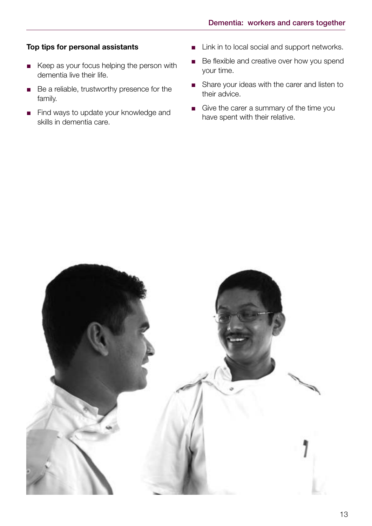#### Top tips for personal assistants

- Keep as your focus helping the person with dementia live their life.
- Be a reliable, trustworthy presence for the family.
- Find ways to update your knowledge and skills in dementia care.
- Link in to local social and support networks.
- Be flexible and creative over how you spend your time.
- Share your ideas with the carer and listen to their advice.
- Give the carer a summary of the time you have spent with their relative.

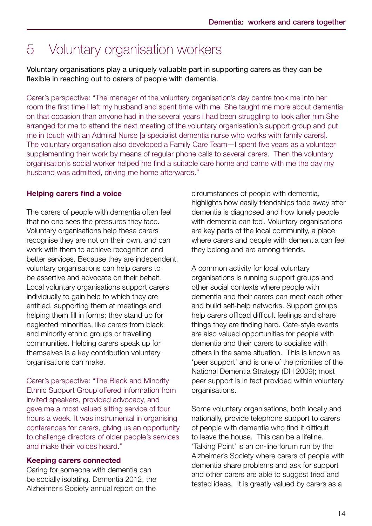### 5 Voluntary organisation workers

Voluntary organisations play a uniquely valuable part in supporting carers as they can be flexible in reaching out to carers of people with dementia.

Carer's perspective: "The manager of the voluntary organisation's day centre took me into her room the first time I left my husband and spent time with me. She taught me more about dementia on that occasion than anyone had in the several years I had been struggling to look after him.She arranged for me to attend the next meeting of the voluntary organisation's support group and put me in touch with an Admiral Nurse [a specialist dementia nurse who works with family carers]. The voluntary organisation also developed a Family Care Team—I spent five years as a volunteer supplementing their work by means of regular phone calls to several carers. Then the voluntary organisation's social worker helped me find a suitable care home and came with me the day my husband was admitted, driving me home afterwards."

#### Helping carers find a voice

The carers of people with dementia often feel that no one sees the pressures they face. Voluntary organisations help these carers recognise they are not on their own, and can work with them to achieve recognition and better services. Because they are independent, voluntary organisations can help carers to be assertive and advocate on their behalf. Local voluntary organisations support carers individually to gain help to which they are entitled, supporting them at meetings and helping them fill in forms; they stand up for neglected minorities, like carers from black and minority ethnic groups or travelling communities. Helping carers speak up for themselves is a key contribution voluntary organisations can make.

Carer's perspective: "The Black and Minority Ethnic Support Group offered information from invited speakers, provided advocacy, and gave me a most valued sitting service of four hours a week. It was instrumental in organising conferences for carers, giving us an opportunity to challenge directors of older people's services and make their voices heard."

#### Keeping carers connected

Caring for someone with dementia can be socially isolating. Dementia 2012, the Alzheimer's Society annual report on the

circumstances of people with dementia, highlights how easily friendships fade away after dementia is diagnosed and how lonely people with dementia can feel. Voluntary organisations are key parts of the local community, a place where carers and people with dementia can feel they belong and are among friends.

A common activity for local voluntary organisations is running support groups and other social contexts where people with dementia and their carers can meet each other and build self-help networks. Support groups help carers offload difficult feelings and share things they are finding hard. Cafe-style events are also valued opportunities for people with dementia and their carers to socialise with others in the same situation. This is known as 'peer support' and is one of the priorities of the National Dementia Strategy (DH 2009); most peer support is in fact provided within voluntary organisations.

Some voluntary organisations, both locally and nationally, provide telephone support to carers of people with dementia who find it difficult to leave the house. This can be a lifeline. 'Talking Point' is an on-line forum run by the Alzheimer's Society where carers of people with dementia share problems and ask for support and other carers are able to suggest tried and tested ideas. It is greatly valued by carers as a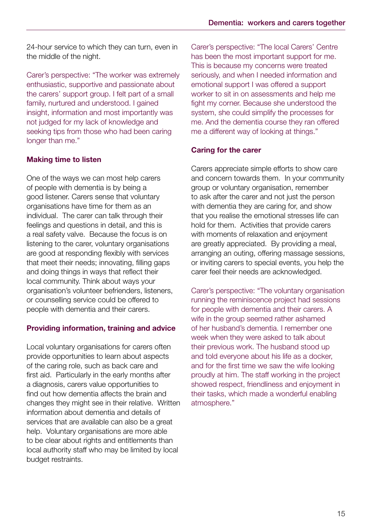24-hour service to which they can turn, even in the middle of the night.

Carer's perspective: "The worker was extremely enthusiastic, supportive and passionate about the carers' support group. I felt part of a small family, nurtured and understood. I gained insight, information and most importantly was not judged for my lack of knowledge and seeking tips from those who had been caring longer than me."

#### Making time to listen

One of the ways we can most help carers of people with dementia is by being a good listener. Carers sense that voluntary organisations have time for them as an individual. The carer can talk through their feelings and questions in detail, and this is a real safety valve. Because the focus is on listening to the carer, voluntary organisations are good at responding flexibly with services that meet their needs; innovating, filling gaps and doing things in ways that reflect their local community. Think about ways your organisation's volunteer befrienders, listeners, or counselling service could be offered to people with dementia and their carers.

#### Providing information, training and advice

Local voluntary organisations for carers often provide opportunities to learn about aspects of the caring role, such as back care and first aid. Particularly in the early months after a diagnosis, carers value opportunities to find out how dementia affects the brain and changes they might see in their relative. Written information about dementia and details of services that are available can also be a great help. Voluntary organisations are more able to be clear about rights and entitlements than local authority staff who may be limited by local budget restraints.

Carer's perspective: "The local Carers' Centre has been the most important support for me. This is because my concerns were treated seriously, and when I needed information and emotional support I was offered a support worker to sit in on assessments and help me fight my corner. Because she understood the system, she could simplify the processes for me. And the dementia course they ran offered me a different way of looking at things."

#### Caring for the carer

Carers appreciate simple efforts to show care and concern towards them. In your community group or voluntary organisation, remember to ask after the carer and not just the person with dementia they are caring for, and show that you realise the emotional stresses life can hold for them. Activities that provide carers with moments of relaxation and enjoyment are greatly appreciated. By providing a meal, arranging an outing, offering massage sessions, or inviting carers to special events, you help the carer feel their needs are acknowledged.

Carer's perspective: "The voluntary organisation running the reminiscence project had sessions for people with dementia and their carers. A wife in the group seemed rather ashamed of her husband's dementia. I remember one week when they were asked to talk about their previous work. The husband stood up and told everyone about his life as a docker, and for the first time we saw the wife looking proudly at him. The staff working in the project showed respect, friendliness and enjoyment in their tasks, which made a wonderful enabling atmosphere."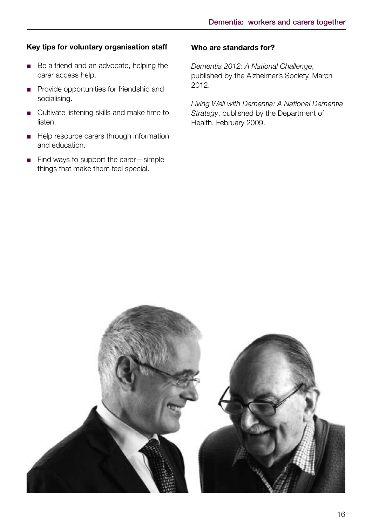#### Key tips for voluntary organisation staff

- Be a friend and an advocate, helping the carer access help.
- Provide opportunities for friendship and socialising.
- Cultivate listening skills and make time to listen.
- Help resource carers through information and education.
- Find ways to support the carer—simple things that make them feel special.

#### Who are standards for?

*Dementia 2012: A National Challenge*, published by the Alzheimer's Society, March 2012.

*Living Well with Dementia: A National Dementia Strategy*, published by the Department of Health, February 2009.

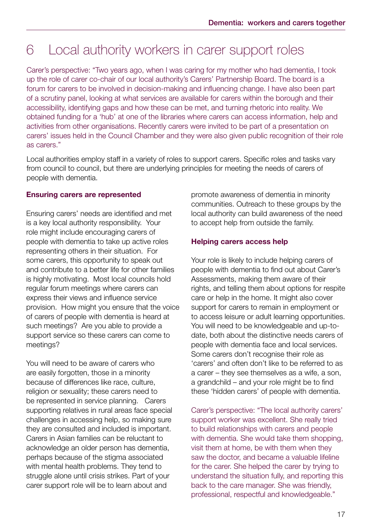### 6 Local authority workers in carer support roles

Carer's perspective: "Two years ago, when I was caring for my mother who had dementia, I took up the role of carer co-chair of our local authority's Carers' Partnership Board. The board is a forum for carers to be involved in decision-making and influencing change. I have also been part of a scrutiny panel, looking at what services are available for carers within the borough and their accessibility, identifying gaps and how these can be met, and turning rhetoric into reality. We obtained funding for a 'hub' at one of the libraries where carers can access information, help and activities from other organisations. Recently carers were invited to be part of a presentation on carers' issues held in the Council Chamber and they were also given public recognition of their role as carers."

Local authorities employ staff in a variety of roles to support carers. Specific roles and tasks vary from council to council, but there are underlying principles for meeting the needs of carers of people with dementia.

#### Ensuring carers are represented

Ensuring carers' needs are identified and met is a key local authority responsibility. Your role might include encouraging carers of people with dementia to take up active roles representing others in their situation. For some carers, this opportunity to speak out and contribute to a better life for other families is highly motivating. Most local councils hold regular forum meetings where carers can express their views and influence service provision. How might you ensure that the voice of carers of people with dementia is heard at such meetings? Are you able to provide a support service so these carers can come to meetings?

You will need to be aware of carers who are easily forgotten, those in a minority because of differences like race, culture, religion or sexuality; these carers need to be represented in service planning. Carers supporting relatives in rural areas face special challenges in accessing help, so making sure they are consulted and included is important. Carers in Asian families can be reluctant to acknowledge an older person has dementia, perhaps because of the stigma associated with mental health problems. They tend to struggle alone until crisis strikes. Part of your carer support role will be to learn about and

promote awareness of dementia in minority communities. Outreach to these groups by the local authority can build awareness of the need to accept help from outside the family.

#### Helping carers access help

Your role is likely to include helping carers of people with dementia to find out about Carer's Assessments, making them aware of their rights, and telling them about options for respite care or help in the home. It might also cover support for carers to remain in employment or to access leisure or adult learning opportunities. You will need to be knowledgeable and up-todate, both about the distinctive needs carers of people with dementia face and local services. Some carers don't recognise their role as 'carers' and often don't like to be referred to as a carer – they see themselves as a wife, a son, a grandchild – and your role might be to find these 'hidden carers' of people with dementia.

Carer's perspective: "The local authority carers' support worker was excellent. She really tried to build relationships with carers and people with dementia. She would take them shopping, visit them at home, be with them when they saw the doctor, and became a valuable lifeline for the carer. She helped the carer by trying to understand the situation fully, and reporting this back to the care manager. She was friendly, professional, respectful and knowledgeable."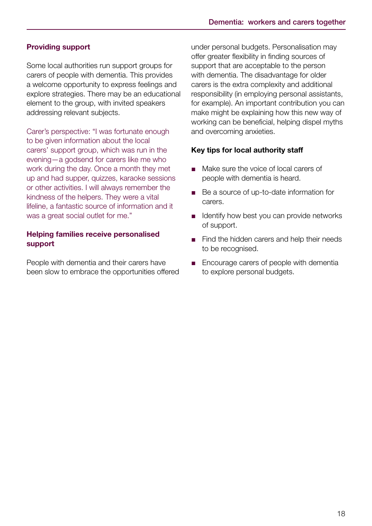#### Providing support

Some local authorities run support groups for carers of people with dementia. This provides a welcome opportunity to express feelings and explore strategies. There may be an educational element to the group, with invited speakers addressing relevant subjects.

Carer's perspective: "I was fortunate enough to be given information about the local carers' support group, which was run in the evening—a godsend for carers like me who work during the day. Once a month they met up and had supper, quizzes, karaoke sessions or other activities. I will always remember the kindness of the helpers. They were a vital lifeline, a fantastic source of information and it was a great social outlet for me."

#### Helping families receive personalised support

People with dementia and their carers have been slow to embrace the opportunities offered under personal budgets. Personalisation may offer greater flexibility in finding sources of support that are acceptable to the person with dementia. The disadvantage for older carers is the extra complexity and additional responsibility (in employing personal assistants, for example). An important contribution you can make might be explaining how this new way of working can be beneficial, helping dispel myths and overcoming anxieties.

#### Key tips for local authority staff

- Make sure the voice of local carers of people with dementia is heard.
- Be a source of up-to-date information for carers.
- Identify how best you can provide networks of support.
- Find the hidden carers and help their needs to be recognised.
- Encourage carers of people with dementia to explore personal budgets.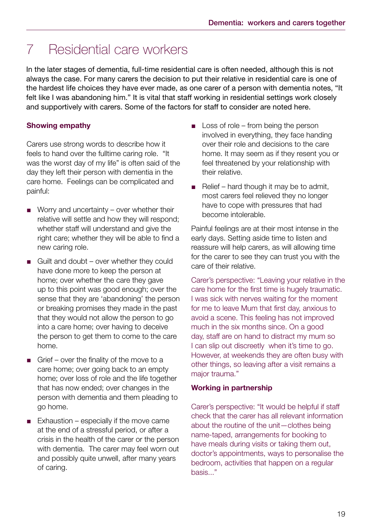### 7 Residential care workers

In the later stages of dementia, full-time residential care is often needed, although this is not always the case. For many carers the decision to put their relative in residential care is one of the hardest life choices they have ever made, as one carer of a person with dementia notes, "It felt like I was abandoning him." It is vital that staff working in residential settings work closely and supportively with carers. Some of the factors for staff to consider are noted here.

#### Showing empathy

Carers use strong words to describe how it feels to hand over the fulltime caring role. "It was the worst day of my life" is often said of the day they left their person with dementia in the care home. Feelings can be complicated and painful:

- Worry and uncertainty over whether their relative will settle and how they will respond; whether staff will understand and give the right care; whether they will be able to find a new caring role.
- $\Box$  Guilt and doubt over whether they could have done more to keep the person at home; over whether the care they gave up to this point was good enough; over the sense that they are 'abandoning' the person or breaking promises they made in the past that they would not allow the person to go into a care home; over having to deceive the person to get them to come to the care home.
- Grief over the finality of the move to a care home; over going back to an empty home; over loss of role and the life together that has now ended; over changes in the person with dementia and them pleading to go home.
- $\blacksquare$  Exhaustion especially if the move came at the end of a stressful period, or after a crisis in the health of the carer or the person with dementia. The carer may feel worn out and possibly quite unwell, after many years of caring.
- Loss of role from being the person involved in everything, they face handing over their role and decisions to the care home. It may seem as if they resent you or feel threatened by your relationship with their relative.
- Relief hard though it may be to admit, most carers feel relieved they no longer have to cope with pressures that had become intolerable.

Painful feelings are at their most intense in the early days. Setting aside time to listen and reassure will help carers, as will allowing time for the carer to see they can trust you with the care of their relative.

Carer's perspective: "Leaving your relative in the care home for the first time is hugely traumatic. I was sick with nerves waiting for the moment for me to leave Mum that first day, anxious to avoid a scene. This feeling has not improved much in the six months since. On a good day, staff are on hand to distract my mum so I can slip out discreetly when it's time to go. However, at weekends they are often busy with other things, so leaving after a visit remains a major trauma."

#### Working in partnership

Carer's perspective: "It would be helpful if staff check that the carer has all relevant information about the routine of the unit—clothes being name-taped, arrangements for booking to have meals during visits or taking them out, doctor's appointments, ways to personalise the bedroom, activities that happen on a regular basis..."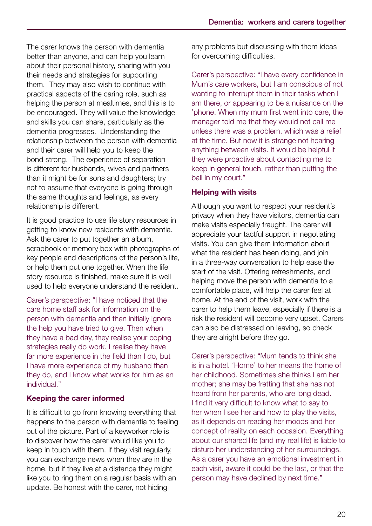The carer knows the person with dementia better than anyone, and can help you learn about their personal history, sharing with you their needs and strategies for supporting them. They may also wish to continue with practical aspects of the caring role, such as helping the person at mealtimes, and this is to be encouraged. They will value the knowledge and skills you can share, particularly as the dementia progresses. Understanding the relationship between the person with dementia and their carer will help you to keep the bond strong. The experience of separation is different for husbands, wives and partners than it might be for sons and daughters; try not to assume that everyone is going through the same thoughts and feelings, as every relationship is different.

It is good practice to use life story resources in getting to know new residents with dementia. Ask the carer to put together an album, scrapbook or memory box with photographs of key people and descriptions of the person's life, or help them put one together. When the life story resource is finished, make sure it is well used to help everyone understand the resident.

Carer's perspective: "I have noticed that the care home staff ask for information on the person with dementia and then initially ignore the help you have tried to give. Then when they have a bad day, they realise your coping strategies really do work. I realise they have far more experience in the field than I do, but I have more experience of my husband than they do, and I know what works for him as an individual."

#### Keeping the carer informed

It is difficult to go from knowing everything that happens to the person with dementia to feeling out of the picture. Part of a keyworker role is to discover how the carer would like you to keep in touch with them. If they visit regularly, you can exchange news when they are in the home, but if they live at a distance they might like you to ring them on a regular basis with an update. Be honest with the carer, not hiding

any problems but discussing with them ideas for overcoming difficulties.

Carer's perspective: "I have every confidence in Mum's care workers, but I am conscious of not wanting to interrupt them in their tasks when I am there, or appearing to be a nuisance on the 'phone. When my mum first went into care, the manager told me that they would not call me unless there was a problem, which was a relief at the time. But now it is strange not hearing anything between visits. It would be helpful if they were proactive about contacting me to keep in general touch, rather than putting the ball in my court."

#### Helping with visits

Although you want to respect your resident's privacy when they have visitors, dementia can make visits especially fraught. The carer will appreciate your tactful support in negotiating visits. You can give them information about what the resident has been doing, and join in a three-way conversation to help ease the start of the visit. Offering refreshments, and helping move the person with dementia to a comfortable place, will help the carer feel at home. At the end of the visit, work with the carer to help them leave, especially if there is a risk the resident will become very upset. Carers can also be distressed on leaving, so check they are alright before they go.

Carer's perspective: "Mum tends to think she is in a hotel. 'Home' to her means the home of her childhood. Sometimes she thinks I am her mother; she may be fretting that she has not heard from her parents, who are long dead. I find it very difficult to know what to say to her when I see her and how to play the visits, as it depends on reading her moods and her concept of reality on each occasion. Everything about our shared life (and my real life) is liable to disturb her understanding of her surroundings. As a carer you have an emotional investment in each visit, aware it could be the last, or that the person may have declined by next time."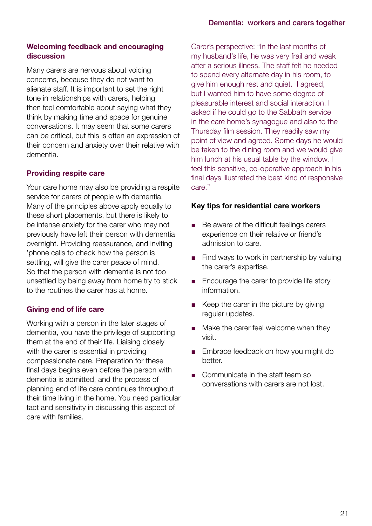#### Welcoming feedback and encouraging discussion

Many carers are nervous about voicing concerns, because they do not want to alienate staff. It is important to set the right tone in relationships with carers, helping then feel comfortable about saying what they think by making time and space for genuine conversations. It may seem that some carers can be critical, but this is often an expression of their concern and anxiety over their relative with dementia.

#### Providing respite care

Your care home may also be providing a respite service for carers of people with dementia. Many of the principles above apply equally to these short placements, but there is likely to be intense anxiety for the carer who may not previously have left their person with dementia overnight. Providing reassurance, and inviting 'phone calls to check how the person is settling, will give the carer peace of mind. So that the person with dementia is not too unsettled by being away from home try to stick to the routines the carer has at home.

#### Giving end of life care

Working with a person in the later stages of dementia, you have the privilege of supporting them at the end of their life. Liaising closely with the carer is essential in providing compassionate care. Preparation for these final days begins even before the person with dementia is admitted, and the process of planning end of life care continues throughout their time living in the home. You need particular tact and sensitivity in discussing this aspect of care with families.

Carer's perspective: "In the last months of my husband's life, he was very frail and weak after a serious illness. The staff felt he needed to spend every alternate day in his room, to give him enough rest and quiet. I agreed, but I wanted him to have some degree of pleasurable interest and social interaction. I asked if he could go to the Sabbath service in the care home's synagogue and also to the Thursday film session. They readily saw my point of view and agreed. Some days he would be taken to the dining room and we would give him lunch at his usual table by the window. I feel this sensitive, co-operative approach in his final days illustrated the best kind of responsive care."

#### Key tips for residential care workers

- Be aware of the difficult feelings carers experience on their relative or friend's admission to care.
- Find ways to work in partnership by valuing the carer's expertise.
- Encourage the carer to provide life story information.
- Keep the carer in the picture by giving regular updates.
- Make the carer feel welcome when they visit.
- Embrace feedback on how you might do better.
- Communicate in the staff team so conversations with carers are not lost.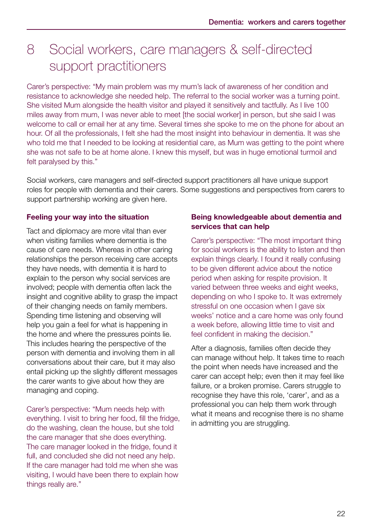### 8 Social workers, care managers & self-directed support practitioners

Carer's perspective: "My main problem was my mum's lack of awareness of her condition and resistance to acknowledge she needed help. The referral to the social worker was a turning point. She visited Mum alongside the health visitor and played it sensitively and tactfully. As I live 100 miles away from mum, I was never able to meet [the social worker] in person, but she said I was welcome to call or email her at any time. Several times she spoke to me on the phone for about an hour. Of all the professionals, I felt she had the most insight into behaviour in dementia. It was she who told me that I needed to be looking at residential care, as Mum was getting to the point where she was not safe to be at home alone. I knew this myself, but was in huge emotional turmoil and felt paralysed by this."

Social workers, care managers and self-directed support practitioners all have unique support roles for people with dementia and their carers. Some suggestions and perspectives from carers to support partnership working are given here.

#### Feeling your way into the situation

Tact and diplomacy are more vital than ever when visiting families where dementia is the cause of care needs. Whereas in other caring relationships the person receiving care accepts they have needs, with dementia it is hard to explain to the person why social services are involved; people with dementia often lack the insight and cognitive ability to grasp the impact of their changing needs on family members. Spending time listening and observing will help you gain a feel for what is happening in the home and where the pressures points lie. This includes hearing the perspective of the person with dementia and involving them in all conversations about their care, but it may also entail picking up the slightly different messages the carer wants to give about how they are managing and coping.

Carer's perspective: "Mum needs help with everything. I visit to bring her food, fill the fridge, do the washing, clean the house, but she told the care manager that she does everything. The care manager looked in the fridge, found it full, and concluded she did not need any help. If the care manager had told me when she was visiting, I would have been there to explain how things really are."

#### Being knowledgeable about dementia and services that can help

Carer's perspective: "The most important thing for social workers is the ability to listen and then explain things clearly. I found it really confusing to be given different advice about the notice period when asking for respite provision. It varied between three weeks and eight weeks, depending on who I spoke to. It was extremely stressful on one occasion when I gave six weeks' notice and a care home was only found a week before, allowing little time to visit and feel confident in making the decision."

After a diagnosis, families often decide they can manage without help. It takes time to reach the point when needs have increased and the carer can accept help; even then it may feel like failure, or a broken promise. Carers struggle to recognise they have this role, 'carer', and as a professional you can help them work through what it means and recognise there is no shame in admitting you are struggling.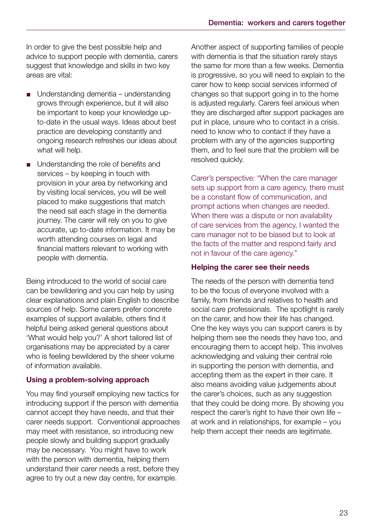In order to give the best possible help and advice to support people with dementia, carers suggest that knowledge and skills in two key areas are vital:

- Understanding dementia understanding grows through experience, but it will also be important to keep your knowledge up to-date in the usual ways. Ideas about best practice are developing constantly and ongoing research refreshes our ideas about what will help.
- Understanding the role of benefits and services – by keeping in touch with provision in your area by networking and by visiting local services, you will be well placed to make suggestions that match the need sat each stage in the dementia journey. The carer will rely on you to give accurate, up to-date information. It may be worth attending courses on legal and financial matters relevant to working with people with dementia.

Being introduced to the world of social care can be bewildering and you can help by using clear explanations and plain English to describe sources of help. Some carers prefer concrete examples of support available, others find it helpful being asked general questions about 'What would help you?' A short tailored list of organisations may be appreciated by a carer who is feeling bewildered by the sheer volume of information available.

#### Using a problem-solving approach

You may find yourself employing new tactics for introducing support if the person with dementia cannot accept they have needs, and that their carer needs support. Conventional approaches may meet with resistance, so introducing new people slowly and building support gradually may be necessary. You might have to work with the person with dementia, helping them understand their carer needs a rest, before they agree to try out a new day centre, for example.

Another aspect of supporting families of people with dementia is that the situation rarely stays the same for more than a few weeks. Dementia is progressive, so you will need to explain to the carer how to keep social services informed of changes so that support going in to the home is adjusted regularly. Carers feel anxious when they are discharged after support packages are put in place, unsure who to contact in a crisis. need to know who to contact if they have a problem with any of the agencies supporting them, and to feel sure that the problem will be resolved quickly.

Carer's perspective: "When the care manager sets up support from a care agency, there must be a constant flow of communication, and prompt actions when changes are needed. When there was a dispute or non availability of care services from the agency, I wanted the care manager not to be biased but to look at the facts of the matter and respond fairly and not in favour of the care agency."

#### Helping the carer see their needs

The needs of the person with dementia tend to be the focus of everyone involved with a family, from friends and relatives to health and social care professionals. The spotlight is rarely on the carer, and how their life has changed. One the key ways you can support carers is by helping them see the needs they have too, and encouraging them to accept help. This involves acknowledging and valuing their central role in supporting the person with dementia, and accepting them as the expert in their care. It also means avoiding value judgements about the carer's choices, such as any suggestion that they could be doing more. By showing you respect the carer's right to have their own life – at work and in relationships, for example – you help them accept their needs are legitimate.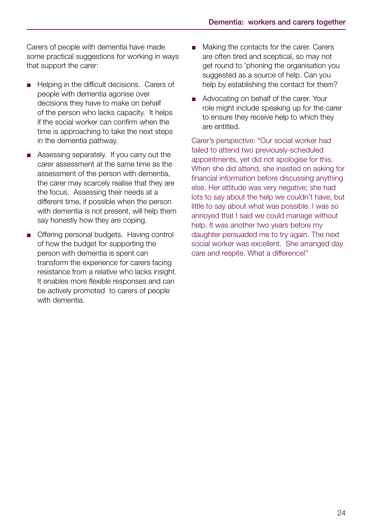Carers of people with dementia have made some practical suggestions for working in ways that support the carer:

- Helping in the difficult decisions. Carers of people with dementia agonise over decisions they have to make on behalf of the person who lacks capacity. It helps if the social worker can confirm when the time is approaching to take the next steps in the dementia pathway.
- Assessing separately. If you carry out the carer assessment at the same time as the assessment of the person with dementia, the carer may scarcely realise that they are the focus. Assessing their needs at a different time, if possible when the person with dementia is not present, will help them say honestly how they are coping.
- Offering personal budgets. Having control of how the budget for supporting the person with dementia is spent can transform the experience for carers facing resistance from a relative who lacks insight. It enables more flexible responses and can be actively promoted to carers of people with dementia.
- Making the contacts for the carer. Carers are often tired and sceptical, so may not get round to 'phoning the organisation you suggested as a source of help. Can you help by establishing the contact for them?
- Advocating on behalf of the carer. Your role might include speaking up for the carer to ensure they receive help to which they are entitled.

Carer's perspective: "Our social worker had failed to attend two previously-scheduled appointments, yet did not apologise for this. When she did attend, she insisted on asking for financial information before discussing anything else. Her attitude was very negative; she had lots to say about the help we couldn't have, but little to say about what was possible. I was so annoyed that I said we could manage without help. It was another two years before my daughter persuaded me to try again. The next social worker was excellent. She arranged day care and respite. What a difference!"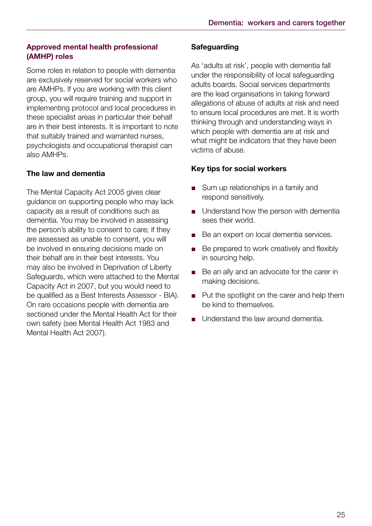#### Approved mental health professional (AMHP) roles

Some roles in relation to people with dementia are exclusively reserved for social workers who are AMHPs. If you are working with this client group, you will require training and support in implementing protocol and local procedures in these specialist areas in particular their behalf are in their best interests. It is important to note that suitably trained and warranted nurses, psychologists and occupational therapist can also AMHPs.

#### The law and dementia

The Mental Capacity Act 2005 gives clear guidance on supporting people who may lack capacity as a result of conditions such as dementia. You may be involved in assessing the person's ability to consent to care; if they are assessed as unable to consent, you will be involved in ensuring decisions made on their behalf are in their best interests. You may also be involved in Deprivation of Liberty Safeguards, which were attached to the Mental Capacity Act in 2007, but you would need to be qualified as a Best Interests Assessor - BIA). On rare occasions people with dementia are sectioned under the Mental Health Act for their own safety (see Mental Health Act 1983 and Mental Health Act 2007).

#### **Safeguarding**

As 'adults at risk', people with dementia fall under the responsibility of local safeguarding adults boards. Social services departments are the lead organisations in taking forward allegations of abuse of adults at risk and need to ensure local procedures are met. It is worth thinking through and understanding ways in which people with dementia are at risk and what might be indicators that they have been victims of abuse.

#### Key tips for social workers

- Sum up relationships in a family and respond sensitively.
- Understand how the person with dementia sees their world.
- Be an expert on local dementia services.
- Be prepared to work creatively and flexibly in sourcing help.
- Be an ally and an advocate for the carer in making decisions.
- Put the spotlight on the carer and help them be kind to themselves.
- Understand the law around dementia.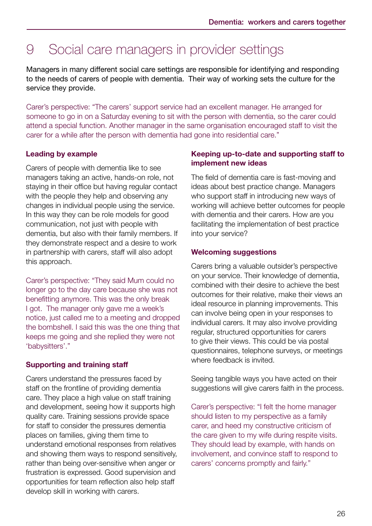### 9 Social care managers in provider settings

Managers in many different social care settings are responsible for identifying and responding to the needs of carers of people with dementia. Their way of working sets the culture for the service they provide.

Carer's perspective: "The carers' support service had an excellent manager. He arranged for someone to go in on a Saturday evening to sit with the person with dementia, so the carer could attend a special function. Another manager in the same organisation encouraged staff to visit the carer for a while after the person with dementia had gone into residential care."

#### Leading by example

Carers of people with dementia like to see managers taking an active, hands-on role, not staying in their office but having regular contact with the people they help and observing any changes in individual people using the service. In this way they can be role models for good communication, not just with people with dementia, but also with their family members. If they demonstrate respect and a desire to work in partnership with carers, staff will also adopt this approach.

Carer's perspective: "They said Mum could no longer go to the day care because she was not benefitting anymore. This was the only break I got. The manager only gave me a week's notice, just called me to a meeting and dropped the bombshell. I said this was the one thing that keeps me going and she replied they were not 'babysitters'."

#### Supporting and training staff

Carers understand the pressures faced by staff on the frontline of providing dementia care. They place a high value on staff training and development, seeing how it supports high quality care. Training sessions provide space for staff to consider the pressures dementia places on families, giving them time to understand emotional responses from relatives and showing them ways to respond sensitively, rather than being over-sensitive when anger or frustration is expressed. Good supervision and opportunities for team reflection also help staff develop skill in working with carers.

#### Keeping up-to-date and supporting staff to implement new ideas

The field of dementia care is fast-moving and ideas about best practice change. Managers who support staff in introducing new ways of working will achieve better outcomes for people with dementia and their carers. How are you facilitating the implementation of best practice into your service?

#### Welcoming suggestions

Carers bring a valuable outsider's perspective on your service. Their knowledge of dementia, combined with their desire to achieve the best outcomes for their relative, make their views an ideal resource in planning improvements. This can involve being open in your responses to individual carers. It may also involve providing regular, structured opportunities for carers to give their views. This could be via postal questionnaires, telephone surveys, or meetings where feedback is invited.

Seeing tangible ways you have acted on their suggestions will give carers faith in the process.

Carer's perspective: "I felt the home manager should listen to my perspective as a family carer, and heed my constructive criticism of the care given to my wife during respite visits. They should lead by example, with hands on involvement, and convince staff to respond to carers' concerns promptly and fairly."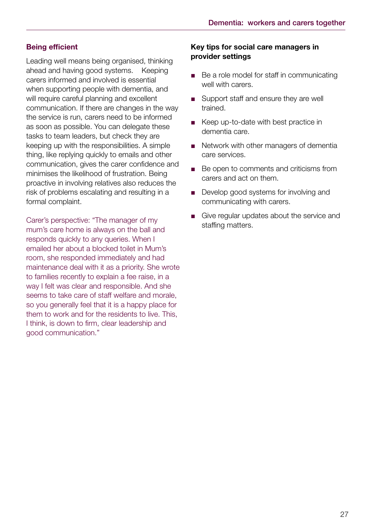#### Being efficient

Leading well means being organised, thinking ahead and having good systems. Keeping carers informed and involved is essential when supporting people with dementia, and will require careful planning and excellent communication. If there are changes in the way the service is run, carers need to be informed as soon as possible. You can delegate these tasks to team leaders, but check they are keeping up with the responsibilities. A simple thing, like replying quickly to emails and other communication, gives the carer confidence and minimises the likelihood of frustration. Being proactive in involving relatives also reduces the risk of problems escalating and resulting in a formal complaint.

Carer's perspective: "The manager of my mum's care home is always on the ball and responds quickly to any queries. When I emailed her about a blocked toilet in Mum's room, she responded immediately and had maintenance deal with it as a priority. She wrote to families recently to explain a fee raise, in a way I felt was clear and responsible. And she seems to take care of staff welfare and morale, so you generally feel that it is a happy place for them to work and for the residents to live. This, I think, is down to firm, clear leadership and good communication."

#### Key tips for social care managers in provider settings

- Be a role model for staff in communicating well with carers.
- Support staff and ensure they are well trained.
- Keep up-to-date with best practice in dementia care.
- Network with other managers of dementia care services.
- Be open to comments and criticisms from carers and act on them.
- Develop good systems for involving and communicating with carers.
- Give regular updates about the service and staffing matters.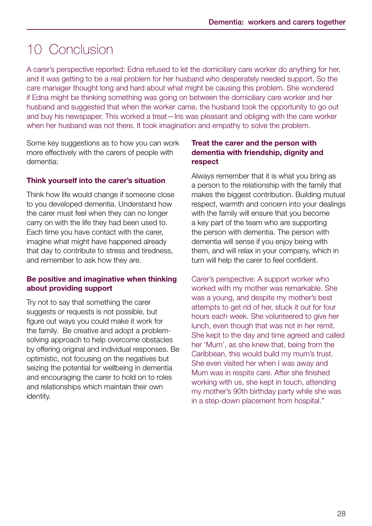### 10 Conclusion

A carer's perspective reported: Edna refused to let the domiciliary care worker do anything for her, and it was getting to be a real problem for her husband who desperately needed support. So the care manager thought long and hard about what might be causing this problem. She wondered if Edna might be thinking something was going on between the domiciliary care worker and her husband and suggested that when the worker came, the husband took the opportunity to go out and buy his newspaper. This worked a treat—Iris was pleasant and obliging with the care worker when her husband was not there. It took imagination and empathy to solve the problem.

Some key suggestions as to how you can work more effectively with the carers of people with dementia:

#### Think yourself into the carer's situation

Think how life would change if someone close to you developed dementia. Understand how the carer must feel when they can no longer carry on with the life they had been used to. Each time you have contact with the carer, imagine what might have happened already that day to contribute to stress and tiredness, and remember to ask how they are.

#### Be positive and imaginative when thinking about providing support

Try not to say that something the carer suggests or requests is not possible, but figure out ways you could make it work for the family. Be creative and adopt a problemsolving approach to help overcome obstacles by offering original and individual responses. Be optimistic, not focusing on the negatives but seizing the potential for wellbeing in dementia and encouraging the carer to hold on to roles and relationships which maintain their own identity.

#### Treat the carer and the person with dementia with friendship, dignity and respect

Always remember that it is what you bring as a person to the relationship with the family that makes the biggest contribution. Building mutual respect, warmth and concern into your dealings with the family will ensure that you become a key part of the team who are supporting the person with dementia. The person with dementia will sense if you enjoy being with them, and will relax in your company, which in turn will help the carer to feel confident.

Carer's perspective: A support worker who worked with my mother was remarkable. She was a young, and despite my mother's best attempts to get rid of her, stuck it out for four hours each week. She volunteered to give her lunch, even though that was not in her remit. She kept to the day and time agreed and called her 'Mum', as she knew that, being from the Caribbean, this would build my mum's trust. She even visited her when I was away and Mum was in respite care. After she finished working with us, she kept in touch, attending my mother's 90th birthday party while she was in a step-down placement from hospital."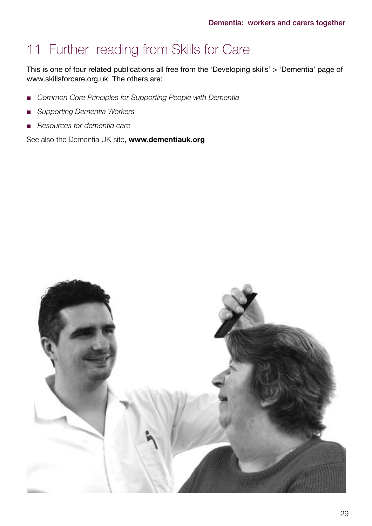### 11 Further reading from Skills for Care

This is one of four related publications all free from the 'Developing skills' > 'Dementia' page of www.skillsforcare.org.uk The others are:

- *Common Core Principles for Supporting People with Dementia*
- *Supporting Dementia Workers*
- *Resources for dementia care*

See also the Dementia UK site, www.dementiauk.org